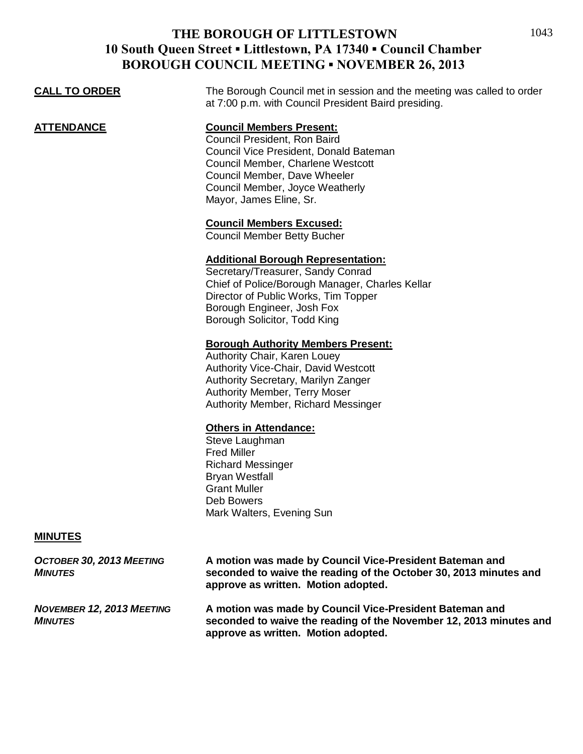| <b>CALL TO ORDER</b> | The Borough Council met in session and the meeting was called to order<br>at 7:00 p.m. with Council President Baird presiding.                                                                                                               |
|----------------------|----------------------------------------------------------------------------------------------------------------------------------------------------------------------------------------------------------------------------------------------|
| <b>ATTENDANCE</b>    | <b>Council Members Present:</b><br>Council President, Ron Baird<br>Council Vice President, Donald Bateman<br>Council Member, Charlene Westcott<br>Council Member, Dave Wheeler<br>Council Member, Joyce Weatherly<br>Mayor, James Eline, Sr. |
|                      | <b>Council Members Excused:</b><br><b>Council Member Betty Bucher</b>                                                                                                                                                                        |
|                      | <b>Additional Borough Representation:</b><br>Secretary/Treasurer, Sandy Conrad<br>Chief of Police/Borough Manager, Charles Kellar<br>Director of Public Works, Tim Topper<br>Borough Engineer, Josh Fox<br>Borough Solicitor, Todd King      |
|                      | <b>Borough Authority Members Present:</b><br>Authority Chair, Karen Louey<br><b>Authority Vice-Chair, David Westcott</b><br>Authority Secretary, Marilyn Zanger                                                                              |

Authority Secretary, Marilyn Zanger Authority Member, Terry Moser Authority Member, Richard Messinger

#### **Others in Attendance:**

Steve Laughman Fred Miller Richard Messinger Bryan Westfall Grant Muller Deb Bowers Mark Walters, Evening Sun

#### **MINUTES**

*OCTOBER 30, 2013 MEETING* **A motion was made by Council Vice-President Bateman and** *MINUTES* **seconded to waive the reading of the October 30, 2013 minutes and approve as written. Motion adopted.** *NOVEMBER 12, 2013 MEETING* **A motion was made by Council Vice-President Bateman and**  *MINUTES* **seconded to waive the reading of the November 12, 2013 minutes and approve as written. Motion adopted.**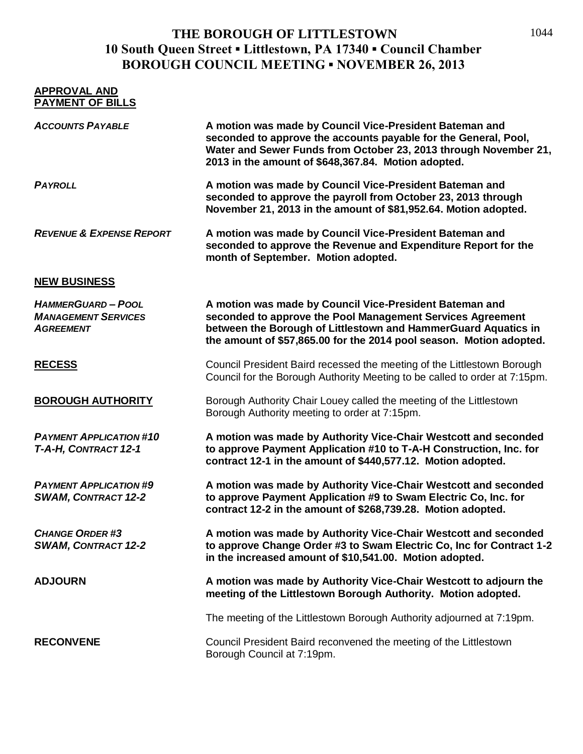| <b>APPROVAL AND</b><br><b>PAYMENT OF BILLS</b>                            |                                                                                                                                                                                                                                                                |
|---------------------------------------------------------------------------|----------------------------------------------------------------------------------------------------------------------------------------------------------------------------------------------------------------------------------------------------------------|
| <b>ACCOUNTS PAYABLE</b>                                                   | A motion was made by Council Vice-President Bateman and<br>seconded to approve the accounts payable for the General, Pool,<br>Water and Sewer Funds from October 23, 2013 through November 21,<br>2013 in the amount of \$648,367.84. Motion adopted.          |
| <b>PAYROLL</b>                                                            | A motion was made by Council Vice-President Bateman and<br>seconded to approve the payroll from October 23, 2013 through<br>November 21, 2013 in the amount of \$81,952.64. Motion adopted.                                                                    |
| <b>REVENUE &amp; EXPENSE REPORT</b>                                       | A motion was made by Council Vice-President Bateman and<br>seconded to approve the Revenue and Expenditure Report for the<br>month of September. Motion adopted.                                                                                               |
| <b>NEW BUSINESS</b>                                                       |                                                                                                                                                                                                                                                                |
| <b>HAMMERGUARD-POOL</b><br><b>MANAGEMENT SERVICES</b><br><b>AGREEMENT</b> | A motion was made by Council Vice-President Bateman and<br>seconded to approve the Pool Management Services Agreement<br>between the Borough of Littlestown and HammerGuard Aquatics in<br>the amount of \$57,865.00 for the 2014 pool season. Motion adopted. |
| <b>RECESS</b>                                                             | Council President Baird recessed the meeting of the Littlestown Borough<br>Council for the Borough Authority Meeting to be called to order at 7:15pm.                                                                                                          |
| <b>BOROUGH AUTHORITY</b>                                                  | Borough Authority Chair Louey called the meeting of the Littlestown<br>Borough Authority meeting to order at 7:15pm.                                                                                                                                           |
| <b>PAYMENT APPLICATION #10</b><br>T-A-H, CONTRACT 12-1                    | A motion was made by Authority Vice-Chair Westcott and seconded<br>to approve Payment Application #10 to T-A-H Construction, Inc. for<br>contract 12-1 in the amount of \$440,577.12. Motion adopted.                                                          |
| <b>PAYMENT APPLICATION #9</b><br><b>SWAM, CONTRACT 12-2</b>               | A motion was made by Authority Vice-Chair Westcott and seconded<br>to approve Payment Application #9 to Swam Electric Co, Inc. for<br>contract 12-2 in the amount of \$268,739.28. Motion adopted.                                                             |
| <b>CHANGE ORDER #3</b><br><b>SWAM, CONTRACT 12-2</b>                      | A motion was made by Authority Vice-Chair Westcott and seconded<br>to approve Change Order #3 to Swam Electric Co, Inc for Contract 1-2<br>in the increased amount of \$10,541.00. Motion adopted.                                                             |
| <b>ADJOURN</b>                                                            | A motion was made by Authority Vice-Chair Westcott to adjourn the<br>meeting of the Littlestown Borough Authority. Motion adopted.                                                                                                                             |
|                                                                           | The meeting of the Littlestown Borough Authority adjourned at 7:19pm.                                                                                                                                                                                          |
| <b>RECONVENE</b>                                                          | Council President Baird reconvened the meeting of the Littlestown<br>Borough Council at 7:19pm.                                                                                                                                                                |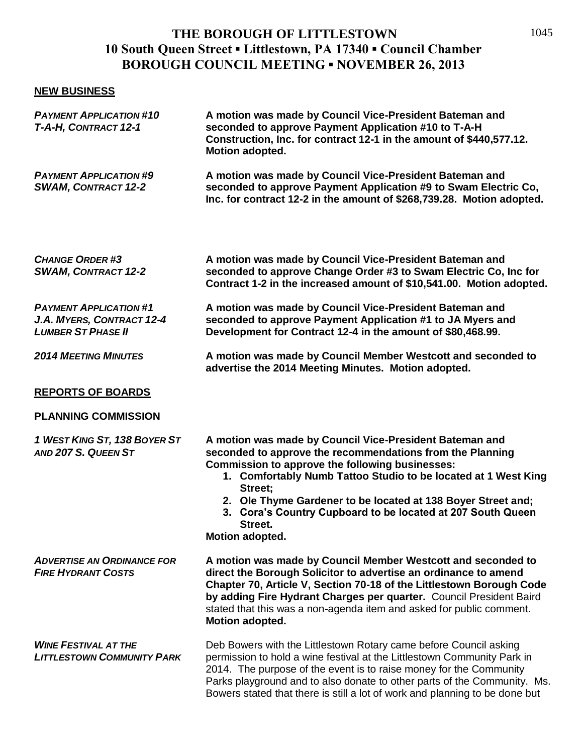#### **NEW BUSINESS**

| <b>PAYMENT APPLICATION #10</b><br>T-A-H, CONTRACT 12-1                                  | A motion was made by Council Vice-President Bateman and<br>seconded to approve Payment Application #10 to T-A-H<br>Construction, Inc. for contract 12-1 in the amount of \$440,577.12.<br>Motion adopted.                                                                                                                                                                                                                |
|-----------------------------------------------------------------------------------------|--------------------------------------------------------------------------------------------------------------------------------------------------------------------------------------------------------------------------------------------------------------------------------------------------------------------------------------------------------------------------------------------------------------------------|
| <b>PAYMENT APPLICATION #9</b><br><b>SWAM, CONTRACT 12-2</b>                             | A motion was made by Council Vice-President Bateman and<br>seconded to approve Payment Application #9 to Swam Electric Co,<br>Inc. for contract 12-2 in the amount of \$268,739.28. Motion adopted.                                                                                                                                                                                                                      |
| <b>CHANGE ORDER #3</b><br><b>SWAM, CONTRACT 12-2</b>                                    | A motion was made by Council Vice-President Bateman and<br>seconded to approve Change Order #3 to Swam Electric Co, Inc for<br>Contract 1-2 in the increased amount of \$10,541.00. Motion adopted.                                                                                                                                                                                                                      |
| <b>PAYMENT APPLICATION #1</b><br>J.A. MYERS, CONTRACT 12-4<br><b>LUMBER ST PHASE II</b> | A motion was made by Council Vice-President Bateman and<br>seconded to approve Payment Application #1 to JA Myers and<br>Development for Contract 12-4 in the amount of \$80,468.99.                                                                                                                                                                                                                                     |
| <b>2014 MEETING MINUTES</b>                                                             | A motion was made by Council Member Westcott and seconded to<br>advertise the 2014 Meeting Minutes. Motion adopted.                                                                                                                                                                                                                                                                                                      |
| <b>REPORTS OF BOARDS</b>                                                                |                                                                                                                                                                                                                                                                                                                                                                                                                          |
| <b>PLANNING COMMISSION</b>                                                              |                                                                                                                                                                                                                                                                                                                                                                                                                          |
| 1 WEST KING ST, 138 BOYER ST<br>AND 207 S. QUEEN ST                                     | A motion was made by Council Vice-President Bateman and<br>seconded to approve the recommendations from the Planning<br><b>Commission to approve the following businesses:</b><br>1. Comfortably Numb Tattoo Studio to be located at 1 West King<br>Street;<br>2. Ole Thyme Gardener to be located at 138 Boyer Street and;<br>3. Cora's Country Cupboard to be located at 207 South Queen<br>Street.<br>Motion adopted. |
| <b>ADVERTISE AN ORDINANCE FOR</b><br><b>FIRE HYDRANT COSTS</b>                          | A motion was made by Council Member Westcott and seconded to<br>direct the Borough Solicitor to advertise an ordinance to amend<br>Chapter 70, Article V, Section 70-18 of the Littlestown Borough Code<br>by adding Fire Hydrant Charges per quarter. Council President Baird<br>stated that this was a non-agenda item and asked for public comment.<br>Motion adopted.                                                |
| <b>WINE FESTIVAL AT THE</b><br><b>LITTLESTOWN COMMUNITY PARK</b>                        | Deb Bowers with the Littlestown Rotary came before Council asking<br>permission to hold a wine festival at the Littlestown Community Park in<br>2014. The purpose of the event is to raise money for the Community<br>Parks playground and to also donate to other parts of the Community. Ms.<br>Bowers stated that there is still a lot of work and planning to be done but                                            |